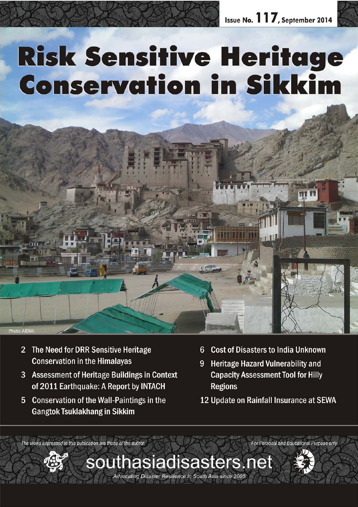# **Risk Sensitive Heritage Conservation in Sikkim**



- Assessment of Heritage Buildings in Context 3 of 2011 Earthquake: A Report by INTACH
- **Conservation of the Wall-Paintings in the**  $5<sup>5</sup>$ **Gangtok Tsuklakhang in Sikkim**
- **Cost of Disasters to India Unknown**  $6^{\circ}$
- **Heritage Hazard Vulnerability and** 9 **Capacity Assessment Tool for Hilly Regions**
- 12 Update on Rainfall Insurance at SEWA

The views expressed in this publication are those of the author. For Personal and Educational Purpose only

southasiadisasters.net

Advocating Disaster Resilience in South Asia since 2005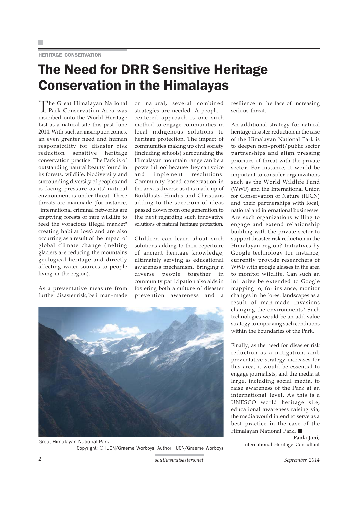# HERITAGE CONSERVATION

# The Need for DRR Sensitive Heritage Conservation in the Himalayas

The Great Himalayan National Park Conservation Area was inscribed onto the World Heritage List as a natural site this past June 2014. With such an inscription comes, an even greater need and human responsibility for disaster risk reduction sensitive heritage conservation practice. The Park is of outstanding natural beauty found in its forests, wildlife, biodiversity and surrounding diversity of peoples and is facing pressure as its' natural environment is under threat. These threats are manmade (for instance, "international criminal networks are emptying forests of rare wildlife to feed the voracious illegal market" creating habitat loss) and are also occurring as a result of the impact of global climate change (melting glaciers are reducing the mountains geological heritage and directly affecting water sources to people living in the region).

As a preventative measure from further disaster risk, be it man–made

or natural, several combined strategies are needed. A people – centered approach is one such method to engage communities in local indigenous solutions to heritage protection. The impact of communities making up civil society (including schools) surrounding the Himalayan mountain range can be a powerful tool because they can voice and implement resolutions. Community based conservation in the area is diverse as it is made up of Buddhists, Hindus and Christians adding to the spectrum of ideas passed down from one generation to the next regarding such innovative solutions of natural heritage protection.

Children can learn about such solutions adding to their repertoire of ancient heritage knowledge, ultimately serving as educational awareness mechanism. Bringing a diverse people together in community participation also aids in fostering both a culture of disaster prevention awareness and a



International Heritage Consultant Great Himalayan National Park. Copyright: © IUCN/Graeme Worboys, Author: IUCN/Graeme Worboys

resilience in the face of increasing serious threat.

An additional strategy for natural heritage disaster reduction in the case of the Himalayan National Park is to deepen non–profit/public sector partnerships and align pressing priorities of threat with the private sector. For instance, it would be important to consider organizations such as the World Wildlife Fund (WWF) and the International Union for Conservation of Nature (IUCN) and their partnerships with local, national and international businesses. Are such organizations willing to engage and extend relationship building with the private sector to support disaster risk reduction in the Himalayan region? Initiatives by Google technology for instance, currently provide researchers of WWF with google glasses in the area to monitor wildlife. Can such an initiative be extended to Google mapping to, for instance, monitor changes in the forest landscapes as a result of man-made invasions changing the environments? Such technologies would be an add value strategy to improving such conditions within the boundaries of the Park.

Finally, as the need for disaster risk reduction as a mitigation, and, preventative strategy increases for this area, it would be essential to engage journalists, and the media at large, including social media, to raise awareness of the Park at an international level. As this is a UNESCO world heritage site, educational awareness raising via, the media would intend to serve as a best practice in the case of the Himalayan National Park.

– **Paola Jani,**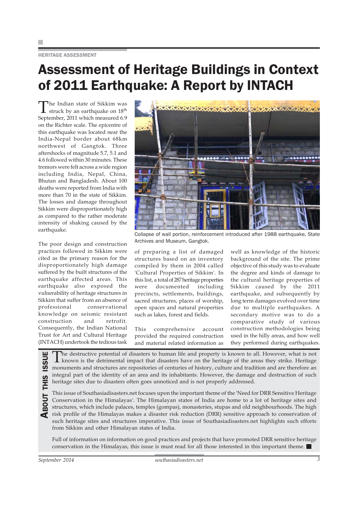### HERITAGE ASSESSMENT

# Assessment of Heritage Buildings in Context of 2011 Earthquake: A Report by INTACH

The Indian state of Sikkim was<br>struck by an earthquake on  $18^{th}$ September, 2011 which measured 6.9 on the Richter scale. The epicentre of this earthquake was located near the India-Nepal border about 68km northwest of Gangtok. Three aftershocks of magnitude 5.7, 5.1 and 4.6 followed within 30 minutes. These tremors were felt across a wide region including India, Nepal, China, Bhutan and Bangladesh. About 100 deaths were reported from India with more than 70 in the state of Sikkim. The losses and damage throughout Sikkim were disproportionately high as compared to the rather moderate intensity of shaking caused by the earthquake.

The poor design and construction practices followed in Sikkim were cited as the primary reason for the disproportionately high damage suffered by the built structures of the earthquake affected areas. This earthquake also exposed the vulnerability of heritage structures in Sikkim that suffer from an absence of professional conservational knowledge on seismic resistant construction and retrofit. Consequently, the Indian National Trust for Art and Cultural Heritage (INTACH) undertook the tedious task



Collapse of wall portion, reinforcement introduced after 1988 earthquake, State Archives and Museum, Gangtok.

of preparing a list of damaged structures based on an inventory compiled by them in 2004 called 'Cultural Properties of Sikkim'. In this list, a total of 287 heritage properties were documented including precincts, settlements, buildings, sacred structures, places of worship, open spaces and natural properties such as lakes, forest and fields.

This comprehensive account provided the required construction and material related information as

well as knowledge of the historic background of the site. The prime objective of this study was to evaluate the degree and kinds of damage to the cultural heritage properties of Sikkim caused by the 2011 earthquake, and subsequently by long term damages evolved over time due to multiple earthquakes. A secondary motive was to do a comparative study of various construction methodologies being used in the hilly areas, and how well they performed during earthquakes.

The destructive potential of disasters to human life and property is known to all. However, what is not known is the detrimental impact that disasters have on the heritage of the areas they strike. Heritage monuments and s known is the detrimental impact that disasters have on the heritage of the areas they strike. Heritage monuments and structures are repositories of centuries of history, culture and tradition and are therefore an integral part of the identity of an area and its inhabitants. However, the damage and destruction of such heritage sites due to disasters often goes unnoticed and is not properly addressed.

This issue of Southasiadisasters.net focuses upon the important theme of the 'Need for DRR Sensitive Heritage Conservation in the Himalayas'. The Himalayan states of India are home to a lot of heritage sites and structures, which include palaces, temples (gompas), monasteries, stupas and old neighbourhoods. The high risk profile of the Himalayas makes a disaster risk reduction (DRR) sensitive approach to conservation of such heritage sites and structures imperative. This issue of Southasiadisasters.net highlights such efforts from Sikkim and other Himalayan states of India.

Full of information on information on good practices and projects that have promoted DRR sensitive heritage conservation in the Himalayas, this issue is must read for all those interested in this important theme.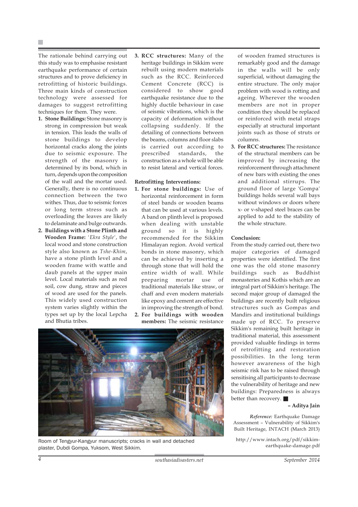The rationale behind carrying out this study was to emphasise resistant earthquake performance of certain structures and to prove deficiency in retrofitting of historic buildings. Three main kinds of construction technology were assessed for damages to suggest retrofitting techniques for them. They were.

- **1. Stone Buildings:** Stone masonry is strong in compression but weak in tension. This leads the walls of stone buildings to develop horizontal cracks along the joints due to seismic exposure. The strength of the masonry is determined by its bond, which in turn, depends upon the composition of the wall and the mortar used. Generally, there is no continuous connection between the two withes. Thus, due to seismic forces or long term stress such as overloading the leaves are likely to delaminate and bulge outwards.
- **2. Buildings with a Stone Plinth and Wooden Frame:** *'Ekra Style'*, the local wood and stone construction style also known as *Tshe-Khim*, have a stone plinth level and a wooden frame with wattle and daub panels at the upper main level. Local materials such as red soil, cow dung, straw and pieces of wood are used for the panels. This widely used construction system varies slightly within the types set up by the local Lepcha and Bhutia tribes.

**3. RCC structures:** Many of the heritage buildings in Sikkim were rebuilt using modern materials such as the RCC. Reinforced Cement Concrete (RCC) is considered to show good earthquake resistance due to the highly ductile behaviour in case of seismic vibrations, which is the capacity of deformation without collapsing suddenly. If the detailing of connections between the beams, columns and floor slabs is carried out according to prescribed standards, the construction as a whole will be able to resist lateral and vertical forces.

# **Retrofitting Interventions:**

**1. For stone buildings:** Use of horizontal reinforcement in form of steel bands or wooden beams that can be used at various levels. A band on plinth level is proposed when dealing with unstable ground so it is highly recommended for the Sikkim Himalayan region. Avoid vertical bonds in stone masonry, which can be achieved by inserting a through stone that will hold the entire width of wall. While preparing mortar use of traditional materials like straw, or chaff and even modern materials like epoxy and cement are effective in improving the strength of bond. **2. For buildings with wooden**





Room of Tengyur-Kangyur manuscripts; cracks in wall and detached plaster, Dubdi Gompa, Yuksom, West Sikkim.

of wooden framed structures is remarkably good and the damage in the walls will be only superficial, without damaging the entire structure. The only major problem with wood is rotting and ageing. Wherever the wooden members are not in proper condition they should be replaced or reinforced with metal straps especially at structural important joints such as those of struts or columns.

**3. For RCC structures:** The resistance of the structural members can be improved by increasing the reinforcement through attachment of new bars with existing the ones and additional stirrups. The ground floor of large 'Gompa' buildings holds several wall bays without windows or doors where x- or v-shaped steel braces can be applied to add to the stability of the whole structure.

# **Conclusion:**

From the study carried out, there two major categories of damaged properties were identified. The first one was the old stone masonry buildings such as Buddhist monasteries and Kothis which are an integral part of Sikkim's heritage. The second major group of damaged the buildings are recently built religious structures such as Gompas and Mandirs and institutional buildings made up of RCC. To preserve Sikkim's remaining built heritage in traditional material, this assessment provided valuable findings in terms of retrofitting and restoration possibilities. In the long term however awareness of the high seismic risk has to be raised through sensitising all participants to decrease the vulnerability of heritage and new buildings: Preparedness is always better than recovery.

# **– Aditya Jain**

*Reference:* Earthquake Damage Assessment – Vulnerability of Sikkim's Built Heritage, INTACH (March 2013)

http://www.intach.org/pdf/sikkimearthquake-damage.pdf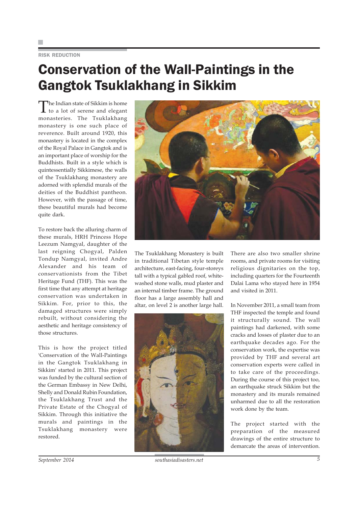# RISK REDUCTION

# Conservation of the Wall-Paintings in the Gangtok Tsuklakhang in Sikkim

The Indian state of Sikkim is home<br>to a lot of serene and elegant monasteries. The Tsuklakhang monastery is one such place of reverence. Built around 1920, this monastery is located in the complex of the Royal Palace in Gangtok and is an important place of worship for the Buddhists. Built in a style which is quintessentially Sikkimese, the walls of the Tsuklakhang monastery are adorned with splendid murals of the deities of the Buddhist pantheon. However, with the passage of time, these beautiful murals had become quite dark.

To restore back the alluring charm of these murals, HRH Princess Hope Leezum Namgyal, daughter of the last reigning Chogyal, Palden Tondup Namgyal, invited Andre Alexander and his team of conservationists from the Tibet Heritage Fund (THF). This was the first time that any attempt at heritage conservation was undertaken in Sikkim. For, prior to this, the damaged structures were simply rebuilt, without considering the aesthetic and heritage consistency of those structures.

This is how the project titled 'Conservation of the Wall-Paintings in the Gangtok Tsuklakhang in Sikkim' started in 2011. This project was funded by the cultural section of the German Embassy in New Delhi, Shelly and Donald Rubin Foundation, the Tsuklakhang Trust and the Private Estate of the Chogyal of Sikkim. Through this initiative the murals and paintings in the Tsuklakhang monastery were restored.



The Tsuklakhang Monastery is built in traditional Tibetan style temple architecture, east-facing, four-storeys tall with a typical gabled roof, whitewashed stone walls, mud plaster and an internal timber frame. The ground floor has a large assembly hall and altar, on level 2 is another large hall.



There are also two smaller shrine rooms, and private rooms for visiting religious dignitaries on the top, including quarters for the Fourteenth Dalai Lama who stayed here in 1954 and visited in 2011.

In November 2011, a small team from THF inspected the temple and found it structurally sound. The wall paintings had darkened, with some cracks and losses of plaster due to an earthquake decades ago. For the conservation work, the expertise was provided by THF and several art conservation experts were called in to take care of the proceedings. During the course of this project too, an earthquake struck Sikkim but the monastery and its murals remained unharmed due to all the restoration work done by the team.

The project started with the preparation of the measured drawings of the entire structure to demarcate the areas of intervention.

*September 2014 southasiadisasters.net 5*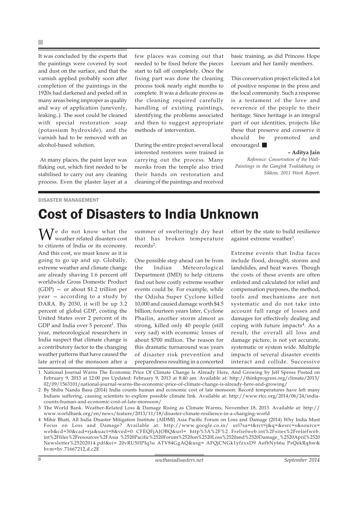×

It was concluded by the experts that the paintings were covered by soot and dust on the surface, and that the varnish applied probably soon after completion of the paintings in the 1920s had darkened and peeled off in many areas being improper as quality and way of application (unevenly, leaking..). The soot could be cleaned with special restoration soap (potassium hydroxide), and the varnish had to be removed with an alcohol-based solution.

 At many places, the paint layer was flaking out, which first needed to be stabilised to carry out any cleaning process. Even the plaster layer at a few places was coming out that needed to be fixed before the pieces start to fall off completely. Once the fixing part was done the cleaning process took nearly eight months to complete. It was a delicate process as the cleaning required carefully handling of existing paintings, identifying the problems associated and then to suggest appropriate methods of intervention.

During the entire project several local interested restorers were trained in carrying out the process. Many monks from the temple also tried their hands on restoration and cleaning of the paintings and received

basic training, as did Princess Hope Leezum and her family members.

This conservation project elicited a lot of positive response in the press and the local community. Such a response is a testament of the love and reverence of the people to their heritage. Since heritage is an integral part of our identities, projects like these that preserve and conserve it should be promoted and encouraged.

### **– Aditya Jain**

*Reference: Conservation of the Wall-Paintings in the Gangtok Tsuklakhang in Sikkim, 2011 Work Report.*

### DISASTER MANAGEMENT

# Cost of Disasters to India Unknown

We do not know what the weather related disasters cost to citizens of India or its economy. And this cost, we must know as it is going to go up and up. Globally, extreme weather and climate change are already shaving 1.6 percent off worldwide Gross Domestic Product (GDP) — or about \$1.2 trillion per year — according to a study by DARA. By 2030, it will be up 3.2 percent of global GDP, costing the United States over 2 percent of its GDP and India over  $5$  percent<sup>1</sup>. This year, meteorological researchers in India suspect that climate change is a contributory factor to the changing weather patterns that have caused the late arrival of the monsoon after a

summer of swelteringly dry heat that has broken temperature records2.

One possible step ahead can be from the Indian Meteorological Department (IMD) to help citizens find out how costly extreme weather events could be. For example, while the Odisha Super Cyclone killed 10,000 and caused damage worth \$4.5 billion; fourteen years later, Cyclone Phailin, another storm almost as strong, killed only 40 people (still very sad) with economic losses of about \$700 million. The reason for this dramatic turnaround was years of disaster risk prevention and preparedness resulting in a concerted

effort by the state to build resilience against extreme weather<sup>3</sup>.

Extreme events that India faces include flood, drought, storms and landslides, and heat waves. Though the costs of these events are often enlisted and calculated for relief and compensation purposes, the method, tools and mechanisms are not systematic and do not take into account full range of losses and damages for effectively dealing and coping with future impacts $4$ . As a result, the overall all loss and damage picture, is not yet accurate, systematic or system wide. Multiple impacts of several disaster events interact and collide. Successive

1 National Journal Warns The Economic Price Of Climate Change Is Already Here, And Growing by Jeff Spross Posted on February 9, 2013 at 12:00 pm Updated: February 9, 2013 at 8:40 am. Available at: http://thinkprogress.org/climate/2013/ 02/09/1563101/national-journal-warns-the-economic-price-of-climate-change-is-already-here-and-growing/

2 By Shiba Nanda Basu (2014) India counts human and economic cost of late monsoon: Record temperatures have left many Indians suffering, causing scientists to explore possible climate link. Available at: http://www.rtcc.org/2014/06/24/indiacounts-human-and-economic-cost-of-late-monsoon/

3 The World Bank. Weather-Related Loss & Damage Rising as Climate Warms, November 18, 2013. Available at: http:// www.worldbank.org/en/news/feature/2013/11/18/disaster-climate-resilience-in-a-changing-world

4 Mihir Bhatt, All India Disaster Mitigation Institute (AIDMI) Asia Pacific Forum on Loss and Damage (2014) Why India Must Focus on Loss and Damage? Available at: http://www.google.co.in/ url?sa=t&rct=j&q=&esrc=s&source= web&cd=30&cad=rja&uact=8&ved=0 CFEQFjAJOBQ&url= http%3A%2F%2 Freliefweb.int%2Fsites%2Freliefweb. int%2Ffiles%2Fresources%2FAsia %2520Pacific%2520Forum%2520on%2520Loss%2520and%2520Damage\_%2520April%2520 Newsletter%25202014.pdf&ei= 20vRU5fIPIq3u ATV84GgAQ&usg= AFQjCNGk1yfzxxD9 AefbNy66u PsQekRqhw& bvm=bv.71667212,d.c2E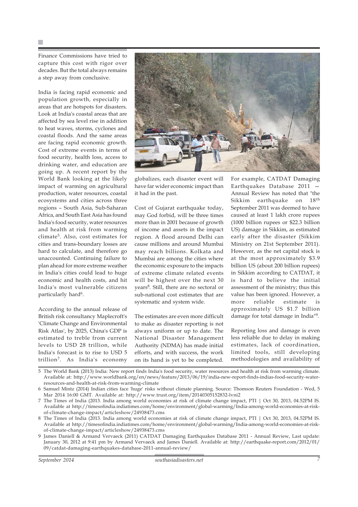Finance Commissions have tried to capture this cost with rigor over decades. But the total always remains a step away from conclusive.

India is facing rapid economic and population growth, especially in areas that are hotspots for disasters. Look at India's coastal areas that are affected by sea level rise in addition to heat waves, storms, cyclones and coastal floods. And the same areas are facing rapid economic growth. Cost of extreme events in terms of food security, health loss, access to drinking water, and education are going up. A recent report by the World Bank looking at the likely impact of warming on agricultural production, water resources, coastal ecosystems and cities across three regions – South Asia, Sub-Saharan Africa, and South East Asia has found India's food security, water resources and health at risk from warming climate5. Also, cost estimates for cities and trans-boundary losses are hard to calculate, and therefore go unaccounted. Continuing failure to plan ahead for more extreme weather in India's cities could lead to huge economic and health costs, and hit India's most vulnerable citizens particularly hard<sup>6</sup>.

According to the annual release of British risk consultancy Maplecroft's 'Climate Change and Environmental Risk Atlas', by 2025, China's GDP is estimated to treble from current levels to USD 28 trillion, while India's forecast is to rise to USD 5 trillion7. As India's economy



globalizes, each disaster event will have far wider economic impact than it had in the past.

Cost of Gujarat earthquake today, may God forbid, will be three times more than in 2001 because of growth of income and assets in the impact region. A flood around Delhi can cause millions and around Mumbai may reach billions. Kolkata and Mumbai are among the cities where the economic exposure to the impacts of extreme climate related events will be highest over the next 30 years8. Still, there are no sectoral or sub-national cost estimates that are systematic and system wide.

The estimates are even more difficult to make as disaster reporting is not always uniform or up to date. The National Disaster Management Authority (NDMA) has made initial efforts, and with success, the work on its hand is yet to be completed.

For example, CATDAT Damaging Earthquakes Database 2011 — Annual Review has noted that "the Sikkim earthquake on  $18^{\text{th}}$ September 2011 was deemed to have caused at least 1 lakh crore rupees (1000 billion rupees or \$22.3 billion US) damage in Sikkim, as estimated early after the disaster (Sikkim Ministry on 21st September 2011). However, as the net capital stock is at the most approximately \$3.9 billion US (about 200 billion rupees) in Sikkim according to CATDAT, it is hard to believe the initial assessment of the ministry; thus this value has been ignored. However, a more reliable estimate is approximately US \$1.7 billion damage for total damage in India"9.

Reporting loss and damage is even less reliable due to delay in making estimates, lack of coordination, limited tools, still developing methodologies and availability of

5 The World Bank (2013) India: New report finds India's food security, water resources and health at risk from warming climate. Available at: http://www.worldbank.org/en/news/feature/2013/06/19/india-new-report-finds-indias-food-security-waterresources-and-health-at-risk-from-warming-climate

6 Samuel Mintz (2014) Indian cities face 'huge' risks without climate planning. Source: Thomson Reuters Foundation - Wed, 5 Mar 2014 16:00 GMT. Available at: http://www.trust.org/item/20140305152832-lvni2

7 The Times of India (2013. India among world economies at risk of climate change impact, PTI | Oct 30, 2013, 04.52PM IS. Available at http://timesofindia.indiatimes.com/home/environment/global-warming/India-among-world-economies-at-riskof-climate-change-impact/articleshow/24938473.cms

8 The Times of India (2013. India among world economies at risk of climate change impact, PTI | Oct 30, 2013, 04.52PM IS. Available at http://timesofindia.indiatimes.com/home/environment/global-warming/India-among-world-economies-at-riskof-climate-change-impact/articleshow/24938473.cms

9 James Daniell & Armand Vervaeck (2011) CATDAT Damaging Earthquakes Database 2011 - Annual Review, Last update: January 30, 2012 at 9:41 pm by Armand Vervaeck and James Daniell. Available at: http://earthquake-report.com/2012/01/ 09/catdat-damaging-earthquakes-database-2011-annual-review/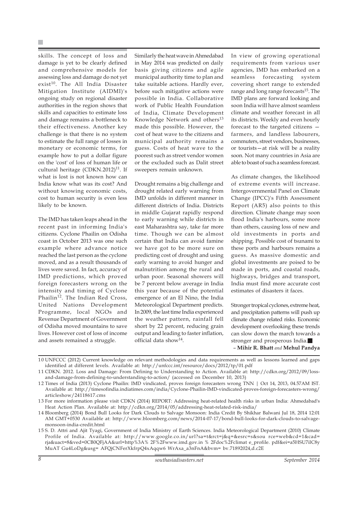skills. The concept of loss and damage is yet to be clearly defined and comprehensive models for assessing loss and damage do not yet exist<sup>10</sup>. The All India Disaster Mitigation Institute (AIDMI)'s ongoing study on regional disaster authorities in the region shows that skills and capacities to estimate loss and damage remains a bottleneck to their effectiveness. Another key challenge is that there is no system to estimate the full range of losses in monetary or economic terms, for example how to put a dollar figure on the 'cost' of loss of human life or cultural heritage (CDKN.2012)<sup>11</sup>. If what is lost is not known how can India know what was its cost? And without knowing economic costs, cost to human security is even less likely to be known.

The IMD has taken leaps ahead in the recent past in informing India's citizens. Cyclone Phailin on Odisha coast in October 2013 was one such example where advance notice reached the last person as the cyclone moved, and as a result thousands of lives were saved. In fact, accuracy of IMD predictions, which proved foreign forecasters wrong on the intensity and timing of Cyclone Phailin<sup>12</sup>. The Indian Red Cross, United Nations Development Programme, local NGOs and Revenue Department of Government of Odisha moved mountains to save lives. However cost of loss of income and assets remained a struggle.

Similarly the heat wave in Ahmedabad in May 2014 was predicted on daily basis giving citizens and agile municipal authority time to plan and take suitable actions. Hardly ever, before such mitigative actions were possible in India. Collaborative work of Public Health Foundation of India, Climate Development Knowledge Network and others<sup>13</sup> made this possible. However, the cost of heat wave to the citizens and municipal authority remains a guess. Costs of heat wave to the poorest such as street vendor women or the excluded such as Dalit street sweepers remain unknown.

Drought remains a big challenge and drought related early warning from IMD unfolds in different manner in different districts of India. Districts in middle Gujarat rapidly respond to early warning while districts in east Maharashtra say, take far more time. Though we can be almost certain that India can avoid famine we have got to be more sure on predicting cost of drought and using early warning to avoid hunger and malnutrition among the rural and urban poor. Seasonal showers will be 7 percent below average in India this year because of the potential emergence of an El Nino, the India Meteorological Department predicts. In 2009, the last time India experienced the weather pattern, rainfall fell short by 22 percent, reducing grain output and leading to faster inflation, official data show $^{14}$ .

In view of growing operational requirements from various user agencies, IMD has embarked on a seamless forecasting system covering short range to extended range and long range forecasts<sup>15</sup>. The IMD plans are forward looking and soon India will have almost seamless climate and weather forecast in all its districts. Weekly and even hourly forecast to the targeted citizens farmers, and landless labourers, commuters, street vendors, businesses, or tourists—at risk will be a reality soon. Not many countries in Asia are able to boast of such a seamless forecast.

As climate changes, the likelihood of extreme events will increase. Intergovernmental Panel on Climate Change (IPCC)'s Fifth Assessment Report (AR5) also points to this direction. Climate change may soon flood India's harbours, some more than others, causing loss of new and old investments in ports and shipping. Possible cost of tsunami to these ports and harbours remains a guess. As massive domestic and global investments are poised to be made in ports, and coastal roads, highways, bridges and transport, India must find more accurate cost estimates of disasters it faces.

Stronger tropical cyclones, extreme heat, and precipitation patterns will push up climate change related risks. Economic development overlooking these trends can slow down the march towards a stronger and prosperous India. – **Mihir R. Bhatt** *and* **Mehul Pandya**

10 UNFCCC (2012) Current knowledge on relevant methodologies and data requirements as well as lessons learned and gaps identified at different levels. Available at: http://unfccc.int/resource/docs/2012/tp/01.pdf

<sup>11</sup> CDKN. 2012. Loss and Damage: From Defining to Understanding to Action. Available at: http://cdkn.org/2012/09/lossand-damage-from-defining-to-understanding-to-action/ (accessed on December 10, 2013)

<sup>12</sup> Times of India (2013) Cyclone Phailin: IMD vindicated, proves foreign forecasters wrong TNN | Oct 14, 2013, 04.57AM IST. Available at: http://timesofindia.indiatimes.com/india/Cyclone-Phailin-IMD-vindicated-proves-foreign-forecasters-wrong/ articleshow/24118617.cms

<sup>13</sup> For more information please visit CDKN (2014) REPORT: Addressing heat-related health risks in urban India: Ahmedabad's Heat Action Plan. Available at: http://cdkn.org/2014/05/addressing-heat-related-risk-india/

<sup>14</sup> Bloomberg (2014) Bond Bull Looks for Dark Clouds to Salvage Monsoon: India Credit By Shikhar Balwani Jul 18, 2014 12:01 AM GMT+0530 Available at: http://www.bloomberg.com/news/2014-07-17/bond-bull-looks-for-dark-clouds-to-salvagemonsoon-india-credit.html

<sup>15</sup> S. D. Attri and Ajit Tyagi, Government of India Ministry of Earth Sciences. India Meteorological Department (2010) Climate Profile of India. Available at: http://www.google.co.in/url?sa=t&rct=j&q=&esrc=s&sou rce=web&cd=1&cad= rja&uact=8&ved=0CB0QFjAA&url=http%3A% 2F%2Fwww.imd.gov.in % 2Fdoc%2Fclimat e\_profile. pdf&ei=a5HSU7ilC8y MuAT Gu4LoDg&usg= AFQjCNFerXkfrpQ4xAqqw6 WrAxa\_a3nFnA&bvm= bv.71892024,d.c2E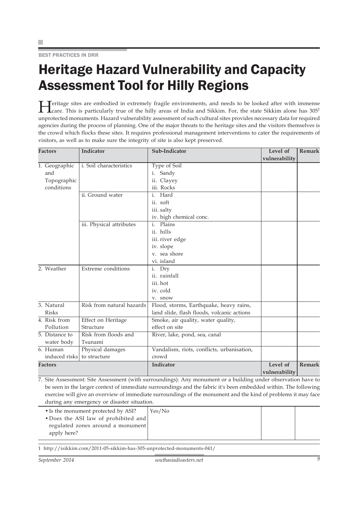BEST PRACTICES IN DRR

# Heritage Hazard Vulnerability and Capacity Assessment Tool for Hilly Regions

**Heritage sites are embodied in extremely fragile environments, and needs to be looked after with immense** Care. This is particularly true of the hilly areas of India and Sikkim. For, the state Sikkim alone has 305<sup>1</sup> unprotected monuments. Hazard vulnerability assessment of such cultural sites provides necessary data for required agencies during the process of planning. One of the major threats to the heritage sites and the visitors themselves is the crowd which flocks these sites. It requires professional management interventions to cater the requirements of visitors, as well as to make sure the integrity of site is also kept preserved.

| <b>Factors</b> | Indicator                 | Sub-Indicator                              | Level of      | <b>Remark</b> |
|----------------|---------------------------|--------------------------------------------|---------------|---------------|
|                |                           |                                            | vulnerability |               |
| 1. Geographic  | i. Soil characteristics   | Type of Soil                               |               |               |
| and            |                           | i. Sandy                                   |               |               |
| Topographic    |                           | ii. Clayey                                 |               |               |
| conditions     |                           | iii. Rocks                                 |               |               |
|                | ii. Ground water          | Hard<br>$\mathbf{i}$ .                     |               |               |
|                |                           | ii. soft                                   |               |               |
|                |                           | iii. salty                                 |               |               |
|                |                           | iv. high chemical conc.                    |               |               |
|                | iii. Physical attributes  | i. Plains                                  |               |               |
|                |                           | ii. hills                                  |               |               |
|                |                           | iii. river edge                            |               |               |
|                |                           | iv. slope                                  |               |               |
|                |                           | v. sea shore                               |               |               |
|                |                           | vi. island                                 |               |               |
| 2. Weather     | Extreme conditions        | i. Dry                                     |               |               |
|                |                           | ii. rainfall                               |               |               |
|                |                           | iii. hot                                   |               |               |
|                |                           | iv. cold                                   |               |               |
|                |                           | v. snow                                    |               |               |
| 3. Natural     | Risk from natural hazards | Flood, storms, Earthquake, heavy rains,    |               |               |
| <b>Risks</b>   |                           | land slide, flash floods, volcanic actions |               |               |
| 4. Risk from   | Effect on Heritage        | Smoke, air quality, water quality,         |               |               |
| Pollution      | Structure                 | effect on site                             |               |               |
| 5. Distance to | Risk from floods and      | River, lake, pond, sea, canal              |               |               |
| water body     | Tsunami                   |                                            |               |               |
| 6. Human       | Physical damages          | Vandalism, riots, conflicts, urbanisation, |               |               |
| induced risks  | to structure              | crowd                                      |               |               |
| <b>Factors</b> |                           | Indicator                                  | Level of      | <b>Remark</b> |
|                |                           |                                            | vulnerability |               |

7. Site Assessment: Site Assessment (with surroundings): Any monument or a building under observation have to be seen in the larger context of immediate surroundings and the fabric it's been embedded within. The following exercise will give an overview of immediate surroundings of the monument and the kind of problems it may face during any emergency or disaster situation.

| • Is the monument protected by ASI?  | Yes/No |  |
|--------------------------------------|--------|--|
| • Does the ASI law of prohibited and |        |  |
| regulated zones around a monument    |        |  |
| apply here?                          |        |  |
|                                      |        |  |

1 http://isikkim.com/2011-05-sikkim-has-305-unprotected-monuments-041/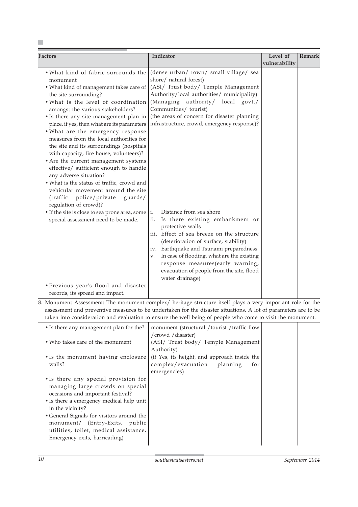| Factors                                                                                                                                                                                                                                                                                                                                                                                                                                                                                                                                                                                                                                                                                                                                                                                                                     | Indicator                                                                                                                                                                                                                                                                                                                                                                                                                                                                                                                                                                                                                                                                                                     | Level of      | <b>Remark</b> |
|-----------------------------------------------------------------------------------------------------------------------------------------------------------------------------------------------------------------------------------------------------------------------------------------------------------------------------------------------------------------------------------------------------------------------------------------------------------------------------------------------------------------------------------------------------------------------------------------------------------------------------------------------------------------------------------------------------------------------------------------------------------------------------------------------------------------------------|---------------------------------------------------------------------------------------------------------------------------------------------------------------------------------------------------------------------------------------------------------------------------------------------------------------------------------------------------------------------------------------------------------------------------------------------------------------------------------------------------------------------------------------------------------------------------------------------------------------------------------------------------------------------------------------------------------------|---------------|---------------|
|                                                                                                                                                                                                                                                                                                                                                                                                                                                                                                                                                                                                                                                                                                                                                                                                                             |                                                                                                                                                                                                                                                                                                                                                                                                                                                                                                                                                                                                                                                                                                               | vulnerability |               |
| . What kind of fabric surrounds the<br>monument<br>• What kind of management takes care of<br>the site surrounding?<br>. What is the level of coordination<br>amongst the various stakeholders?<br>• Is there any site management plan in<br>place, if yes, then what are its parameters<br>. What are the emergency response<br>measures from the local authorities for<br>the site and its surroundings (hospitals<br>with capacity, fire house, volunteers)?<br>• Are the current management systems<br>effective/ sufficient enough to handle<br>any adverse situation?<br>. What is the status of traffic, crowd and<br>vehicular movement around the site<br>police/private<br>(traffic)<br>guards/<br>regulation of crowd)?<br>• If the site is close to sea prone area, some<br>special assessment need to be made. | (dense urban/ town/ small village/ sea<br>shore/ natural forest)<br>(ASI/ Trust body/ Temple Management<br>Authority/local authorities/ municipality)<br>(Managing authority/ local govt./<br>Communities/ tourist)<br>(the areas of concern for disaster planning<br>infrastructure, crowd, emergency response)?<br>Distance from sea shore<br>i.<br>ii.<br>Is there existing embankment or<br>protective walls<br>iii. Effect of sea breeze on the structure<br>(deterioration of surface, stability)<br>Earthquake and Tsunami preparedness<br>iv.<br>In case of flooding, what are the existing<br>v.<br>response measures(early warning,<br>evacuation of people from the site, flood<br>water drainage) |               |               |
| • Previous year's flood and disaster<br>records, its spread and impact.                                                                                                                                                                                                                                                                                                                                                                                                                                                                                                                                                                                                                                                                                                                                                     |                                                                                                                                                                                                                                                                                                                                                                                                                                                                                                                                                                                                                                                                                                               |               |               |

8. Monument Assessment: The monument complex/ heritage structure itself plays a very important role for the assessment and preventive measures to be undertaken for the disaster situations. A lot of parameters are to be taken into consideration and evaluation to ensure the well being of people who come to visit the monument.

| • Is there any management plan for the?   | monument (structural / tourist / traffic flow |  |
|-------------------------------------------|-----------------------------------------------|--|
|                                           | /crowd /disaster)                             |  |
| • Who takes care of the monument          | (ASI/ Trust body/ Temple Management           |  |
|                                           | Authority)                                    |  |
| • Is the monument having enclosure        | (if Yes, its height, and approach inside the  |  |
| walls?                                    | complex/evacuation planning<br>for            |  |
|                                           | emergencies)                                  |  |
| • Is there any special provision for      |                                               |  |
| managing large crowds on special          |                                               |  |
| occasions and important festival?         |                                               |  |
| • Is there a emergency medical help unit  |                                               |  |
| in the vicinity?                          |                                               |  |
| • General Signals for visitors around the |                                               |  |
| monument? (Entry-Exits, public            |                                               |  |
| utilities, toilet, medical assistance,    |                                               |  |
| Emergency exits, barricading)             |                                               |  |
|                                           |                                               |  |

 $\mathcal{L}$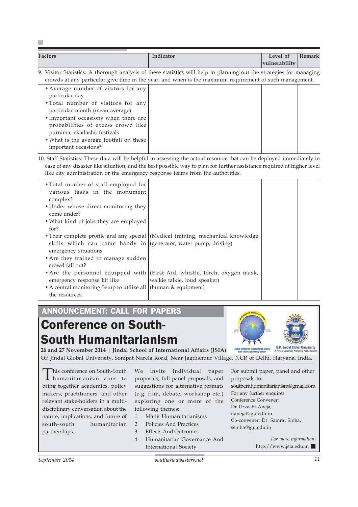| <b>Factors</b> | Indicator                                                                                                            | Level of              | Remark |
|----------------|----------------------------------------------------------------------------------------------------------------------|-----------------------|--------|
|                |                                                                                                                      | $ v$ ulnerability $ $ |        |
|                | 9. Visitor Statistics: A thorough analysis of these statistics will help in planning out the strategies for managing |                       |        |

crowds at any particular give time in the year, and when is the maximum requirement of such management. •Average number of visitors for any particular day •Total number of visitors for any particular month (mean average) •Important occasions when there are probabilities of excess crowd like purnima, ekadashi, festivals

•What is the average footfall on these important occasions?

r.

10. Staff Statistics: These data will be helpful in assessing the actual resource that can be deployed immediately in case of any disaster like situation, and the best possible way to plan for further assistance required at higher level like city administration or the emergency response teams from the authorities.

| • Total number of staff employed for<br>various tasks in the monument<br>complex?       |                                                                                                            |  |
|-----------------------------------------------------------------------------------------|------------------------------------------------------------------------------------------------------------|--|
| • Under whose direct monitoring they<br>come under?                                     |                                                                                                            |  |
| • What kind of jobs they are employed<br>for?                                           |                                                                                                            |  |
| skills which can come handy in (generator, water pump, driving)<br>emergency situations | • Their complete profile and any special (Medical training, mechanical knowledge                           |  |
| • Are they trained to manage sudden<br>crowd fall out?                                  |                                                                                                            |  |
| emergency response kit like                                                             | • Are the personnel equipped with (First Aid, whistle, torch, oxygen mask,<br>walkie talkie, loud speaker) |  |
| • A central monitoring Setup to utilize all (human & equipment)<br>the resources        |                                                                                                            |  |

# ANNOUNCEMENT: CALL FOR PAPERS

# Conference on South-South Humanitarianism



**26 and 27 November 2014 | Jindal School of International Affairs (JSIA)** OP Jindal Global University, Sonipat Narela Road, Near Jagdishpur Village, NCR of Delhi, Haryana, India.

This conference on South-South<br>thumanitarianism aims to bring together academics, policy makers, practitioners, and other relevant stake-holders in a multidisciplinary conversation about the nature, implications, and future of south-south humanitarian partnerships.

We invite individual paper proposals, full panel proposals, and suggestions for alternative formats (e.g. film, debate, workshop etc.) exploring one or more of the following themes:

- 1. Many Humanitarianisms
- 2. Policies And Practices
- 3. Effects And Outcomes
- 4. Humanitarian Governance And International Society

For submit paper, panel and other proposals to: southernhumanitarianism@gmail.com For any further enquires: Conference Convener: Dr Urvashi Aneja, uaneja@jgu.edu.in Co-convener: Dr. Samrat Sinha, ssinha@jgu.edu.in

> *For more information:* http://www.jsia.edu.in